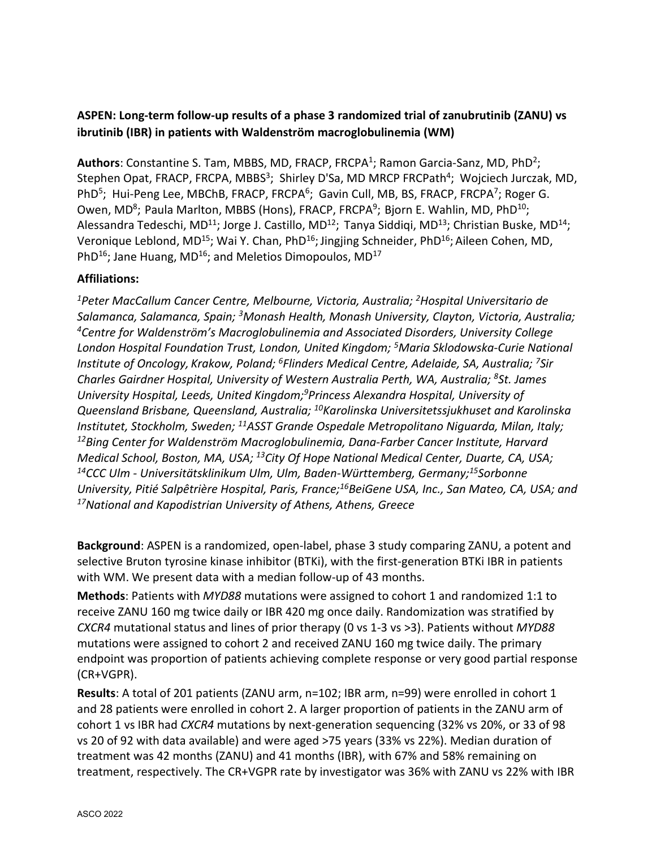## **ASPEN: Long-term follow-up results of a phase 3 randomized trial of zanubrutinib (ZANU) vs ibrutinib (IBR) in patients with Waldenström macroglobulinemia (WM)**

Authors: Constantine S. Tam, MBBS, MD, FRACP, FRCPA<sup>1</sup>; Ramon Garcia-Sanz, MD, PhD<sup>2</sup>; Stephen Opat, FRACP, FRCPA, MBBS<sup>3</sup>; Shirley D'Sa, MD MRCP FRCPath<sup>4</sup>; Wojciech Jurczak, MD, PhD<sup>5</sup>; Hui-Peng Lee, MBChB, FRACP, FRCPA<sup>6</sup>; Gavin Cull, MB, BS, FRACP, FRCPA<sup>7</sup>; Roger G. Owen, MD<sup>8</sup>; Paula Marlton, MBBS (Hons), FRACP, FRCPA<sup>9</sup>; Bjorn E. Wahlin, MD, PhD<sup>10</sup>; Alessandra Tedeschi, MD<sup>11</sup>; Jorge J. Castillo, MD<sup>12</sup>; Tanya Siddiqi, MD<sup>13</sup>; Christian Buske, MD<sup>14</sup>; Veronique Leblond, MD<sup>15</sup>; Wai Y. Chan, PhD<sup>16</sup>; Jingjing Schneider, PhD<sup>16</sup>; Aileen Cohen, MD, PhD<sup>16</sup>; Jane Huang, MD<sup>16</sup>; and Meletios Dimopoulos, MD<sup>17</sup>

## **Affiliations:**

*1Peter MacCallum Cancer Centre, Melbourne, Victoria, Australia; 2Hospital Universitario de Salamanca, Salamanca, Spain; 3Monash Health, Monash University, Clayton, Victoria, Australia; 4Centre for Waldenström's Macroglobulinemia and Associated Disorders, University College London Hospital Foundation Trust, London, United Kingdom; 5Maria Sklodowska-Curie National Institute of Oncology, Krakow, Poland; 6Flinders Medical Centre, Adelaide, SA, Australia; 7Sir Charles Gairdner Hospital, University of Western Australia Perth, WA, Australia; 8St. James University Hospital, Leeds, United Kingdom;9Princess Alexandra Hospital, University of Queensland Brisbane, Queensland, Australia; 10Karolinska Universitetssjukhuset and Karolinska Institutet, Stockholm, Sweden; 11ASST Grande Ospedale Metropolitano Niguarda, Milan, Italy; 12Bing Center for Waldenström Macroglobulinemia, Dana-Farber Cancer Institute, Harvard Medical School, Boston, MA, USA; 13City Of Hope National Medical Center, Duarte, CA, USA; 14CCC Ulm - Universitätsklinikum Ulm, Ulm, Baden-Württemberg, Germany;15Sorbonne University, Pitié Salpêtrière Hospital, Paris, France;16BeiGene USA, Inc., San Mateo, CA, USA; and 17National and Kapodistrian University of Athens, Athens, Greece*

**Background**: ASPEN is a randomized, open-label, phase 3 study comparing ZANU, a potent and selective Bruton tyrosine kinase inhibitor (BTKi), with the first-generation BTKi IBR in patients with WM. We present data with a median follow-up of 43 months.

**Methods**: Patients with *MYD88* mutations were assigned to cohort 1 and randomized 1:1 to receive ZANU 160 mg twice daily or IBR 420 mg once daily. Randomization was stratified by *CXCR4* mutational status and lines of prior therapy (0 vs 1-3 vs >3). Patients without *MYD88* mutations were assigned to cohort 2 and received ZANU 160 mg twice daily. The primary endpoint was proportion of patients achieving complete response or very good partial response (CR+VGPR).

**Results**: A total of 201 patients (ZANU arm, n=102; IBR arm, n=99) were enrolled in cohort 1 and 28 patients were enrolled in cohort 2. A larger proportion of patients in the ZANU arm of cohort 1 vs IBR had *CXCR4* mutations by next-generation sequencing (32% vs 20%, or 33 of 98 vs 20 of 92 with data available) and were aged >75 years (33% vs 22%). Median duration of treatment was 42 months (ZANU) and 41 months (IBR), with 67% and 58% remaining on treatment, respectively. The CR+VGPR rate by investigator was 36% with ZANU vs 22% with IBR